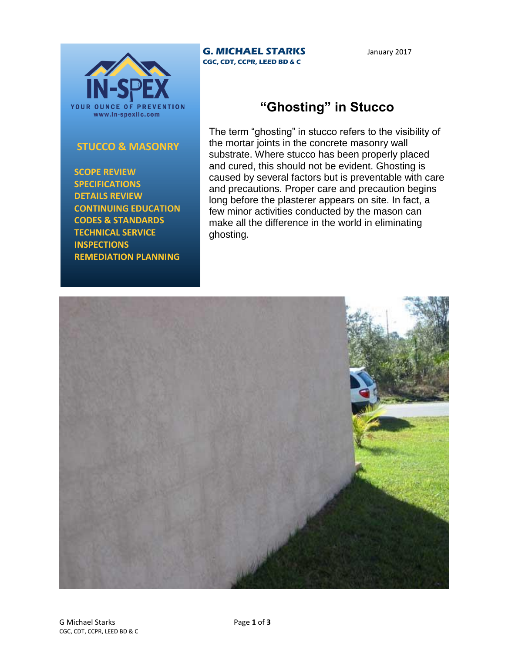

## **STUCCO & MASONRY**

 **SCOPE REVIEW SPECIFICATIONS DETAILS REVIEW CONTINUING EDUCATION CODES & STANDARDS TECHNICAL SERVICE INSPECTIONS REMEDIATION PLANNING**

## **G. MICHAEL STARKS CGC, CDT, CCPR, LEED BD & C**

January 2017

## **"Ghosting" in Stucco**

The term "ghosting" in stucco refers to the visibility of the mortar joints in the concrete masonry wall substrate. Where stucco has been properly placed and cured, this should not be evident. Ghosting is caused by several factors but is preventable with care and precautions. Proper care and precaution begins long before the plasterer appears on site. In fact, a few minor activities conducted by the mason can make all the difference in the world in eliminating ghosting.

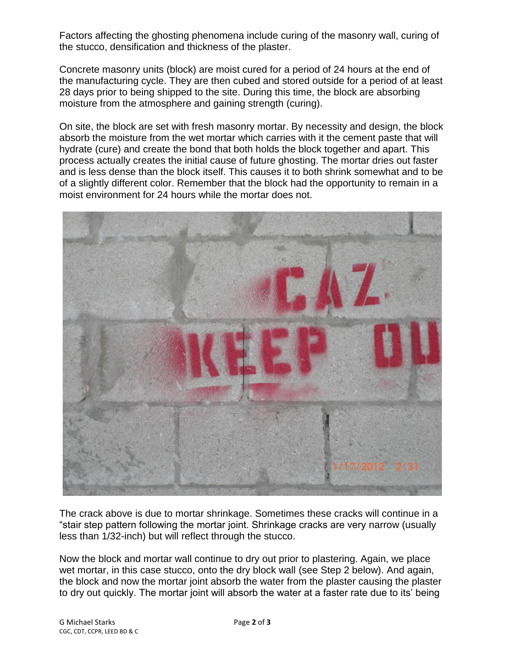Factors affecting the ghosting phenomena include curing of the masonry wall, curing of the stucco, densification and thickness of the plaster.

Concrete masonry units (block) are moist cured for a period of 24 hours at the end of the manufacturing cycle. They are then cubed and stored outside for a period of at least 28 days prior to being shipped to the site. During this time, the block are absorbing moisture from the atmosphere and gaining strength (curing).

On site, the block are set with fresh masonry mortar. By necessity and design, the block absorb the moisture from the wet mortar which carries with it the cement paste that will hydrate (cure) and create the bond that both holds the block together and apart. This process actually creates the initial cause of future ghosting. The mortar dries out faster and is less dense than the block itself. This causes it to both shrink somewhat and to be of a slightly different color. Remember that the block had the opportunity to remain in a moist environment for 24 hours while the mortar does not.



The crack above is due to mortar shrinkage. Sometimes these cracks will continue in a "stair step pattern following the mortar joint. Shrinkage cracks are very narrow (usually less than 1/32-inch) but will reflect through the stucco.

Now the block and mortar wall continue to dry out prior to plastering. Again, we place wet mortar, in this case stucco, onto the dry block wall (see Step 2 below). And again, the block and now the mortar joint absorb the water from the plaster causing the plaster to dry out quickly. The mortar joint will absorb the water at a faster rate due to its' being